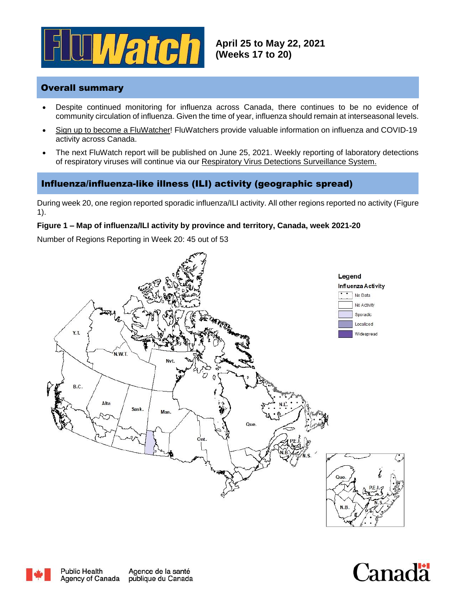

# Overall summary

- Despite continued monitoring for influenza across Canada, there continues to be no evidence of community circulation of influenza. Given the time of year, influenza should remain at interseasonal levels.
- Sign [up to become a FluWatcher!](https://cnphi.canada.ca/fluWatcher/register) FluWatchers provide valuable information on influenza and COVID-19 activity across Canada.
- The next FluWatch report will be published on June 25, 2021. Weekly reporting of laboratory detections of respiratory viruses will continue via our [Respiratory Virus Detections Surveillance System.](https://www.canada.ca/en/public-health/services/surveillance/respiratory-virus-detections-canada.html)

# Influenza/influenza-like illness (ILI) activity (geographic spread)

During week 20, one region reported sporadic influenza/ILI activity. All other regions reported no activity (Figure 1).

#### **Figure 1 – Map of influenza/ILI activity by province and territory, Canada, week 2021-20**

Number of Regions Reporting in Week 20: 45 out of 53





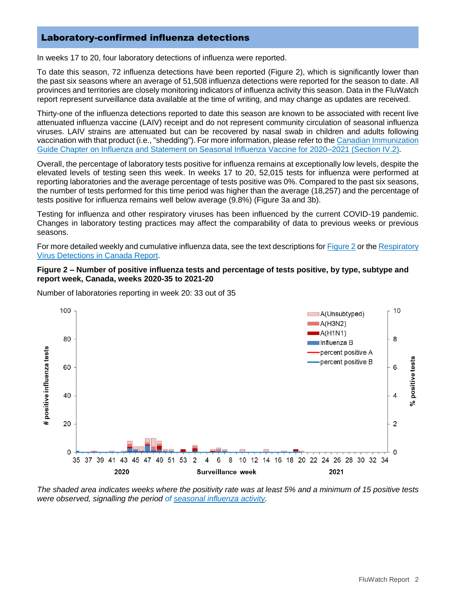### Laboratory-confirmed influenza detections

In weeks 17 to 20, four laboratory detections of influenza were reported.

To date this season, 72 influenza detections have been reported (Figure 2), which is significantly lower than the past six seasons where an average of 51,508 influenza detections were reported for the season to date. All provinces and territories are closely monitoring indicators of influenza activity this season. Data in the FluWatch report represent surveillance data available at the time of writing, and may change as updates are received.

Thirty-one of the influenza detections reported to date this season are known to be associated with recent live attenuated influenza vaccine (LAIV) receipt and do not represent community circulation of seasonal influenza viruses. LAIV strains are attenuated but can be recovered by nasal swab in children and adults following vaccination with that product (i.e., "shedding"). For more information, please refer to the [Canadian Immunization](https://www.canada.ca/en/public-health/services/publications/vaccines-immunization/canadian-immunization-guide-statement-seasonal-influenza-vaccine-2020-2021.html#IV2)  [Guide Chapter on Influenza and Statement on Seasonal Influenza Vaccine for 2020–2021 \(Section IV.2\).](https://www.canada.ca/en/public-health/services/publications/vaccines-immunization/canadian-immunization-guide-statement-seasonal-influenza-vaccine-2020-2021.html#IV2)

Overall, the percentage of laboratory tests positive for influenza remains at exceptionally low levels, despite the elevated levels of testing seen this week. In weeks 17 to 20, 52,015 tests for influenza were performed at reporting laboratories and the average percentage of tests positive was 0%. Compared to the past six seasons, the number of tests performed for this time period was higher than the average (18,257) and the percentage of tests positive for influenza remains well below average (9.8%) (Figure 3a and 3b).

Testing for influenza and other respiratory viruses has been influenced by the current COVID-19 pandemic. Changes in laboratory testing practices may affect the comparability of data to previous weeks or previous seasons.

For more detailed weekly and cumulative influenza data, see the text descriptions for **Figure 2** or the Respiratory [Virus Detections in Canada Report.](https://www.canada.ca/en/public-health/services/surveillance/respiratory-virus-detections-canada.html)

#### **Figure 2 – Number of positive influenza tests and percentage of tests positive, by type, subtype and report week, Canada, weeks 2020-35 to 2021-20**



Number of laboratories reporting in week 20: 33 out of 35

*The shaded area indicates weeks where the positivity rate was at least 5% and a minimum of 15 positive tests were observed, signalling the period of [seasonal influenza activity.](https://journals.plos.org/plosone/article?id=10.1371/journal.pone.0141776)*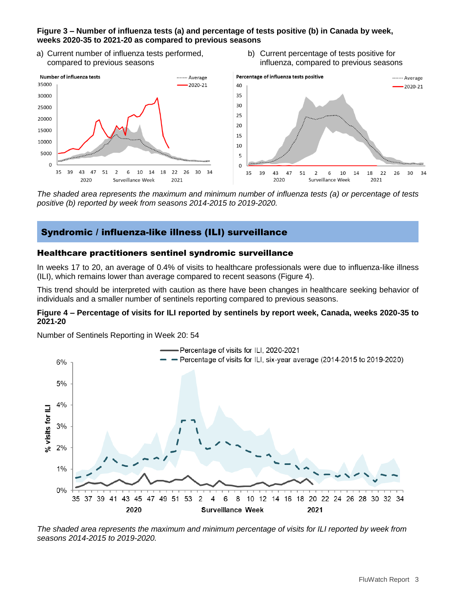### **Figure 3 – Number of influenza tests (a) and percentage of tests positive (b) in Canada by week, weeks 2020-35 to 2021-20 as compared to previous seasons**

- a) Current number of influenza tests performed, compared to previous seasons
- b) Current percentage of tests positive for influenza, compared to previous seasons



*The shaded area represents the maximum and minimum number of influenza tests (a) or percentage of tests positive (b) reported by week from seasons 2014-2015 to 2019-2020.*

# Syndromic / influenza-like illness (ILI) surveillance

### Healthcare practitioners sentinel syndromic surveillance

In weeks 17 to 20, an average of 0.4% of visits to healthcare professionals were due to influenza-like illness (ILI), which remains lower than average compared to recent seasons (Figure 4).

This trend should be interpreted with caution as there have been changes in healthcare seeking behavior of individuals and a smaller number of sentinels reporting compared to previous seasons.

#### **Figure 4 – Percentage of visits for ILI reported by sentinels by report week, Canada, weeks 2020-35 to 2021-20**

Number of Sentinels Reporting in Week 20: 54



*The shaded area represents the maximum and minimum percentage of visits for ILI reported by week from seasons 2014-2015 to 2019-2020.*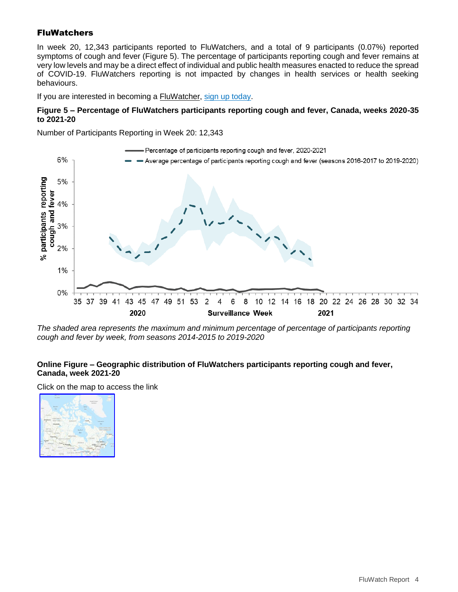# **FluWatchers**

In week 20, 12,343 participants reported to FluWatchers, and a total of 9 participants (0.07%) reported symptoms of cough and fever (Figure 5). The percentage of participants reporting cough and fever remains at very low levels and may be a direct effect of individual and public health measures enacted to reduce the spread of COVID-19. FluWatchers reporting is not impacted by changes in health services or health seeking behaviours.

If you are interested in becoming a [FluWatcher,](https://www.canada.ca/en/public-health/services/diseases/flu-influenza/fluwatcher.html) [sign up today.](https://cnphi.canada.ca/fluWatcher/register)

#### **Figure 5 – Percentage of FluWatchers participants reporting cough and fever, Canada, weeks 2020-35 to 2021-20**

Number of Participants Reporting in Week 20: 12,343



*The shaded area represents the maximum and minimum percentage of percentage of participants reporting cough and fever by week, from seasons 2014-2015 to 2019-2020*

### **Online Figure – Geographic distribution of FluWatchers participants reporting cough and fever, Canada, week 2021-20**

Click on the map to access the link

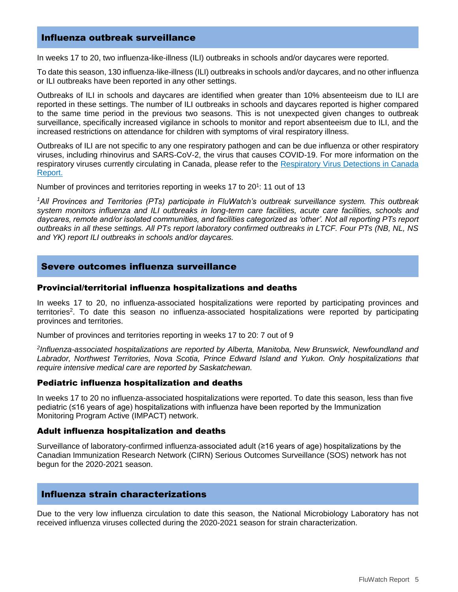### Influenza outbreak surveillance

In weeks 17 to 20, two influenza-like-illness (ILI) outbreaks in schools and/or daycares were reported.

To date this season, 130 influenza-like-illness (ILI) outbreaks in schools and/or daycares, and no other influenza or ILI outbreaks have been reported in any other settings.

Outbreaks of ILI in schools and daycares are identified when greater than 10% absenteeism due to ILI are reported in these settings. The number of ILI outbreaks in schools and daycares reported is higher compared to the same time period in the previous two seasons. This is not unexpected given changes to outbreak surveillance, specifically increased vigilance in schools to monitor and report absenteeism due to ILI, and the increased restrictions on attendance for children with symptoms of viral respiratory illness.

Outbreaks of ILI are not specific to any one respiratory pathogen and can be due influenza or other respiratory viruses, including rhinovirus and SARS-CoV-2, the virus that causes COVID-19. For more information on the respiratory viruses currently circulating in Canada, please refer to the [Respiratory Virus Detections in Canada](https://www.canada.ca/en/public-health/services/surveillance/respiratory-virus-detections-canada/2020-2021/week-40-ending-october-3-2020.html)  [Report.](https://www.canada.ca/en/public-health/services/surveillance/respiratory-virus-detections-canada/2020-2021/week-40-ending-october-3-2020.html)

Number of provinces and territories reporting in weeks 17 to 20<sup>1</sup>: 11 out of 13

*<sup>1</sup>All Provinces and Territories (PTs) participate in FluWatch's outbreak surveillance system. This outbreak system monitors influenza and ILI outbreaks in long-term care facilities, acute care facilities, schools and daycares, remote and/or isolated communities, and facilities categorized as 'other'. Not all reporting PTs report outbreaks in all these settings. All PTs report laboratory confirmed outbreaks in LTCF. Four PTs (NB, NL, NS and YK) report ILI outbreaks in schools and/or daycares.* 

#### Severe outcomes influenza surveillance

#### Provincial/territorial influenza hospitalizations and deaths

In weeks 17 to 20, no influenza-associated hospitalizations were reported by participating provinces and territories<sup>2</sup>. To date this season no influenza-associated hospitalizations were reported by participating provinces and territories.

Number of provinces and territories reporting in weeks 17 to 20: 7 out of 9

*2 Influenza-associated hospitalizations are reported by Alberta, Manitoba, New Brunswick, Newfoundland and Labrador, Northwest Territories, Nova Scotia, Prince Edward Island and Yukon. Only hospitalizations that require intensive medical care are reported by Saskatchewan.*

#### Pediatric influenza hospitalization and deaths

In weeks 17 to 20 no influenza-associated hospitalizations were reported. To date this season, less than five pediatric (≤16 years of age) hospitalizations with influenza have been reported by the Immunization Monitoring Program Active (IMPACT) network.

#### Adult influenza hospitalization and deaths

Surveillance of laboratory-confirmed influenza-associated adult (≥16 years of age) hospitalizations by the Canadian Immunization Research Network (CIRN) Serious Outcomes Surveillance (SOS) network has not begun for the 2020-2021 season.

### Influenza strain characterizations

Due to the very low influenza circulation to date this season, the National Microbiology Laboratory has not received influenza viruses collected during the 2020-2021 season for strain characterization.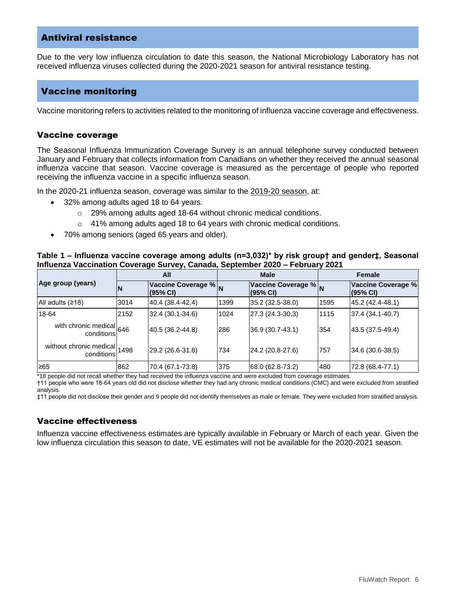### Antiviral resistance

Due to the very low influenza circulation to date this season, the National Microbiology Laboratory has not received influenza viruses collected during the 2020-2021 season for antiviral resistance testing.

### Vaccine monitoring

Vaccine monitoring refers to activities related to the monitoring of influenza vaccine coverage and effectiveness.

### Vaccine coverage

The Seasonal Influenza Immunization Coverage Survey is an annual telephone survey conducted between January and February that collects information from Canadians on whether they received the annual seasonal influenza vaccine that season. Vaccine coverage is measured as the percentage of people who reported receiving the influenza vaccine in a specific influenza season.

In the 2020-21 influenza season, coverage was similar to the [2019-20 season,](https://www.canada.ca/en/public-health/services/immunization-vaccines/vaccination-coverage/2019-2020-seasonal-influenza-flu-vaccine-coverage.html) at:

- 32% among adults aged 18 to 64 years.
	- o 29% among adults aged 18-64 without chronic medical conditions.
	- $\circ$  41% among adults aged 18 to 64 years with chronic medical conditions.
- 70% among seniors (aged 65 years and older).

#### **Table 1 – Influenza vaccine coverage among adults (n=3,032)\* by risk group† and gender‡, Seasonal Influenza Vaccination Coverage Survey, Canada, September 2020 – February 2021**

| Age group (years)            | All  |                                  | <b>Male</b> |                                  | <b>Female</b> |                                |
|------------------------------|------|----------------------------------|-------------|----------------------------------|---------------|--------------------------------|
|                              | N    | Vaccine Coverage % N<br>(95% CI) |             | Vaccine Coverage % N<br>(95% CI) |               | Vaccine Coverage %<br>(95% CI) |
| All adults $(218)$           | 3014 | 40.4 (38.4-42.4)                 | 1399        | 35.2 (32.5-38.0)                 | 1595          | 45.2 (42.4-48.1)               |
| 18-64                        | 2152 | 32.4 (30.1-34.6)                 | 1024        | 27.3 (24.3-30.3)                 | 1115          | 37.4 (34.1-40.7)               |
| with chronic medical 646     |      | 40.5 (36.2-44.8)                 | 286         | 36.9 (30.7-43.1)                 | 354           | 43.5 (37.5-49.4)               |
| without chronic medical 1498 |      | 29.2 (26.6-31.8)                 | 734         | 24.2 (20.8-27.6)                 | 757           | 34.6 (30.6-38.5)               |
| ≥65                          | 862  | 70.4 (67.1-73.8)                 | 375         | 68.0 (62.8-73.2)                 | 480           | 72.8 (68.4-77.1)               |

\*18 people did not recall whether they had received the influenza vaccine and were excluded from coverage estimates.

†11 people who were 18-64 years old did not disclose whether they had any chronic medical conditions (CMC) and were excluded from stratified analysis.

‡11 people did not disclose their gender and 9 people did not identify themselves as male or female. They were excluded from stratified analysis.

### Vaccine effectiveness

Influenza vaccine effectiveness estimates are typically available in February or March of each year. Given the low influenza circulation this season to date, VE estimates will not be available for the 2020-2021 season.